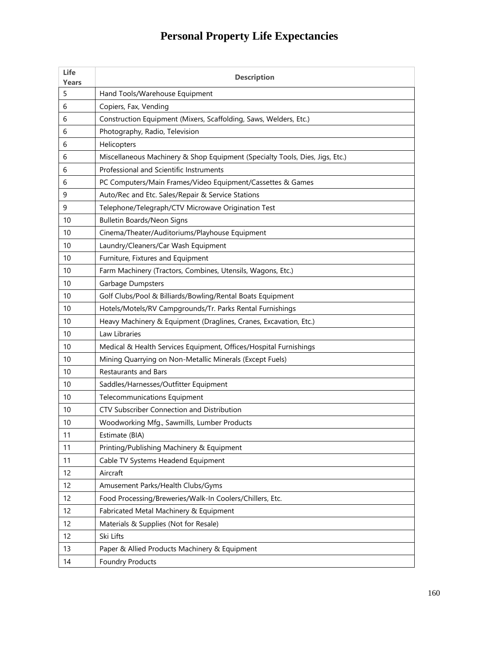# **Personal Property Life Expectancies**

| Life<br>Years | <b>Description</b>                                                           |
|---------------|------------------------------------------------------------------------------|
| 5             | Hand Tools/Warehouse Equipment                                               |
| 6             | Copiers, Fax, Vending                                                        |
| 6             | Construction Equipment (Mixers, Scaffolding, Saws, Welders, Etc.)            |
| 6             | Photography, Radio, Television                                               |
| 6             | Helicopters                                                                  |
| 6             | Miscellaneous Machinery & Shop Equipment (Specialty Tools, Dies, Jigs, Etc.) |
| 6             | Professional and Scientific Instruments                                      |
| 6             | PC Computers/Main Frames/Video Equipment/Cassettes & Games                   |
| 9             | Auto/Rec and Etc. Sales/Repair & Service Stations                            |
| 9             | Telephone/Telegraph/CTV Microwave Origination Test                           |
| 10            | <b>Bulletin Boards/Neon Signs</b>                                            |
| 10            | Cinema/Theater/Auditoriums/Playhouse Equipment                               |
| 10            | Laundry/Cleaners/Car Wash Equipment                                          |
| 10            | Furniture, Fixtures and Equipment                                            |
| 10            | Farm Machinery (Tractors, Combines, Utensils, Wagons, Etc.)                  |
| 10            | Garbage Dumpsters                                                            |
| 10            | Golf Clubs/Pool & Billiards/Bowling/Rental Boats Equipment                   |
| 10            | Hotels/Motels/RV Campgrounds/Tr. Parks Rental Furnishings                    |
| 10            | Heavy Machinery & Equipment (Draglines, Cranes, Excavation, Etc.)            |
| 10            | Law Libraries                                                                |
| 10            | Medical & Health Services Equipment, Offices/Hospital Furnishings            |
| 10            | Mining Quarrying on Non-Metallic Minerals (Except Fuels)                     |
| 10            | <b>Restaurants and Bars</b>                                                  |
| 10            | Saddles/Harnesses/Outfitter Equipment                                        |
| 10            | <b>Telecommunications Equipment</b>                                          |
| 10            | CTV Subscriber Connection and Distribution                                   |
| 10            | Woodworking Mfg., Sawmills, Lumber Products                                  |
| 11            | Estimate (BIA)                                                               |
| 11            | Printing/Publishing Machinery & Equipment                                    |
| 11            | Cable TV Systems Headend Equipment                                           |
| 12            | Aircraft                                                                     |
| 12            | Amusement Parks/Health Clubs/Gyms                                            |
| 12            | Food Processing/Breweries/Walk-In Coolers/Chillers, Etc.                     |
| 12            | Fabricated Metal Machinery & Equipment                                       |
| 12            | Materials & Supplies (Not for Resale)                                        |
| 12            | Ski Lifts                                                                    |
| 13            | Paper & Allied Products Machinery & Equipment                                |
| 14            | <b>Foundry Products</b>                                                      |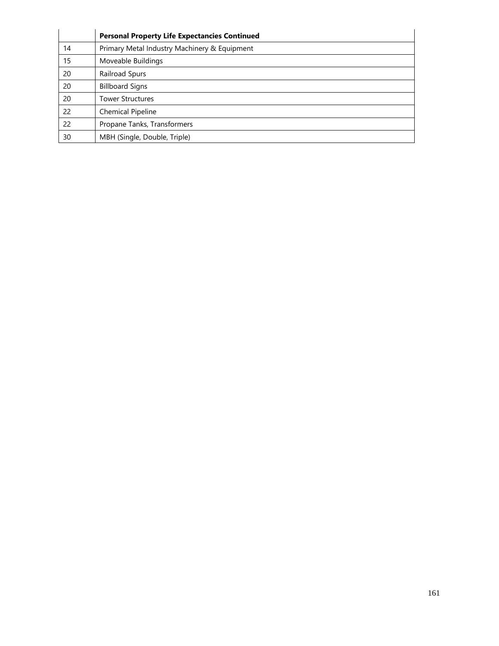|    | <b>Personal Property Life Expectancies Continued</b> |
|----|------------------------------------------------------|
| 14 | Primary Metal Industry Machinery & Equipment         |
| 15 | Moveable Buildings                                   |
| 20 | Railroad Spurs                                       |
| 20 | <b>Billboard Signs</b>                               |
| 20 | <b>Tower Structures</b>                              |
| 22 | Chemical Pipeline                                    |
| 22 | Propane Tanks, Transformers                          |
| 30 | MBH (Single, Double, Triple)                         |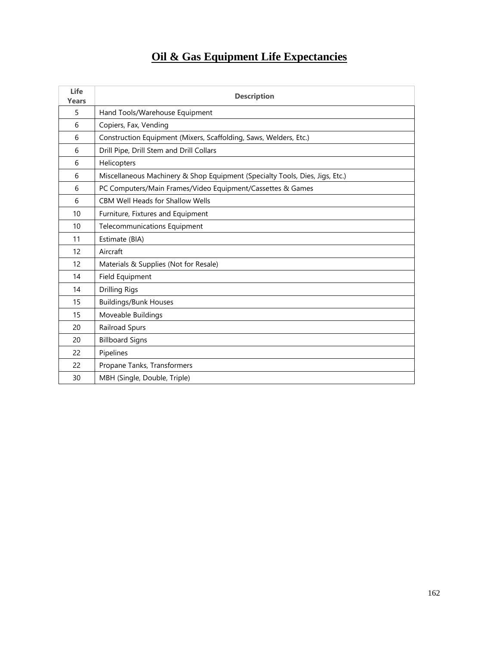#### **Oil & Gas Equipment Life Expectancies**

| Life<br><b>Years</b> | <b>Description</b>                                                           |
|----------------------|------------------------------------------------------------------------------|
| 5                    | Hand Tools/Warehouse Equipment                                               |
| 6                    | Copiers, Fax, Vending                                                        |
| 6                    | Construction Equipment (Mixers, Scaffolding, Saws, Welders, Etc.)            |
| 6                    | Drill Pipe, Drill Stem and Drill Collars                                     |
| 6                    | Helicopters                                                                  |
| 6                    | Miscellaneous Machinery & Shop Equipment (Specialty Tools, Dies, Jigs, Etc.) |
| 6                    | PC Computers/Main Frames/Video Equipment/Cassettes & Games                   |
| 6                    | <b>CBM Well Heads for Shallow Wells</b>                                      |
| 10                   | Furniture, Fixtures and Equipment                                            |
| 10                   | <b>Telecommunications Equipment</b>                                          |
| 11                   | Estimate (BIA)                                                               |
| 12                   | Aircraft                                                                     |
| 12                   | Materials & Supplies (Not for Resale)                                        |
| 14                   | Field Equipment                                                              |
| 14                   | <b>Drilling Rigs</b>                                                         |
| 15                   | <b>Buildings/Bunk Houses</b>                                                 |
| 15                   | Moveable Buildings                                                           |
| 20                   | Railroad Spurs                                                               |
| 20                   | <b>Billboard Signs</b>                                                       |
| 22                   | Pipelines                                                                    |
| 22                   | Propane Tanks, Transformers                                                  |
| 30                   | MBH (Single, Double, Triple)                                                 |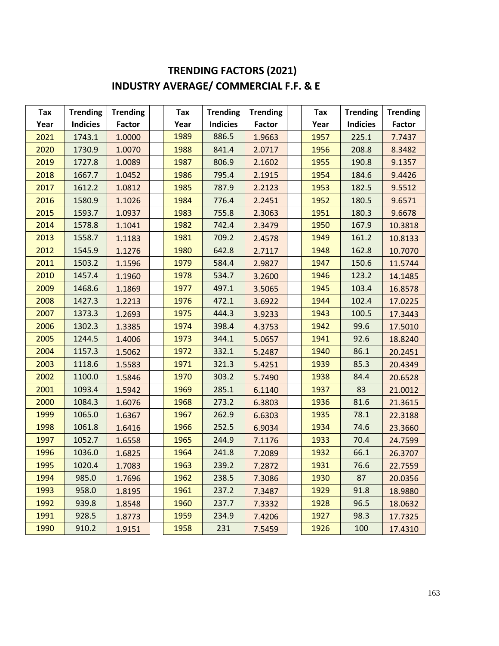## **TRENDING FACTORS (2021) INDUSTRY AVERAGE/ COMMERCIAL F.F. & E**

| Tax  | <b>Trending</b> | <b>Trending</b> | Tax  | <b>Trending</b> | <b>Trending</b> | Tax  | <b>Trending</b> | <b>Trending</b> |
|------|-----------------|-----------------|------|-----------------|-----------------|------|-----------------|-----------------|
| Year | <b>Indicies</b> | <b>Factor</b>   | Year | <b>Indicies</b> | <b>Factor</b>   | Year | <b>Indicies</b> | Factor          |
| 2021 | 1743.1          | 1.0000          | 1989 | 886.5           | 1.9663          | 1957 | 225.1           | 7.7437          |
| 2020 | 1730.9          | 1.0070          | 1988 | 841.4           | 2.0717          | 1956 | 208.8           | 8.3482          |
| 2019 | 1727.8          | 1.0089          | 1987 | 806.9           | 2.1602          | 1955 | 190.8           | 9.1357          |
| 2018 | 1667.7          | 1.0452          | 1986 | 795.4           | 2.1915          | 1954 | 184.6           | 9.4426          |
| 2017 | 1612.2          | 1.0812          | 1985 | 787.9           | 2.2123          | 1953 | 182.5           | 9.5512          |
| 2016 | 1580.9          | 1.1026          | 1984 | 776.4           | 2.2451          | 1952 | 180.5           | 9.6571          |
| 2015 | 1593.7          | 1.0937          | 1983 | 755.8           | 2.3063          | 1951 | 180.3           | 9.6678          |
| 2014 | 1578.8          | 1.1041          | 1982 | 742.4           | 2.3479          | 1950 | 167.9           | 10.3818         |
| 2013 | 1558.7          | 1.1183          | 1981 | 709.2           | 2.4578          | 1949 | 161.2           | 10.8133         |
| 2012 | 1545.9          | 1.1276          | 1980 | 642.8           | 2.7117          | 1948 | 162.8           | 10.7070         |
| 2011 | 1503.2          | 1.1596          | 1979 | 584.4           | 2.9827          | 1947 | 150.6           | 11.5744         |
| 2010 | 1457.4          | 1.1960          | 1978 | 534.7           | 3.2600          | 1946 | 123.2           | 14.1485         |
| 2009 | 1468.6          | 1.1869          | 1977 | 497.1           | 3.5065          | 1945 | 103.4           | 16.8578         |
| 2008 | 1427.3          | 1.2213          | 1976 | 472.1           | 3.6922          | 1944 | 102.4           | 17.0225         |
| 2007 | 1373.3          | 1.2693          | 1975 | 444.3           | 3.9233          | 1943 | 100.5           | 17.3443         |
| 2006 | 1302.3          | 1.3385          | 1974 | 398.4           | 4.3753          | 1942 | 99.6            | 17.5010         |
| 2005 | 1244.5          | 1.4006          | 1973 | 344.1           | 5.0657          | 1941 | 92.6            | 18.8240         |
| 2004 | 1157.3          | 1.5062          | 1972 | 332.1           | 5.2487          | 1940 | 86.1            | 20.2451         |
| 2003 | 1118.6          | 1.5583          | 1971 | 321.3           | 5.4251          | 1939 | 85.3            | 20.4349         |
| 2002 | 1100.0          | 1.5846          | 1970 | 303.2           | 5.7490          | 1938 | 84.4            | 20.6528         |
| 2001 | 1093.4          | 1.5942          | 1969 | 285.1           | 6.1140          | 1937 | 83              | 21.0012         |
| 2000 | 1084.3          | 1.6076          | 1968 | 273.2           | 6.3803          | 1936 | 81.6            | 21.3615         |
| 1999 | 1065.0          | 1.6367          | 1967 | 262.9           | 6.6303          | 1935 | 78.1            | 22.3188         |
| 1998 | 1061.8          | 1.6416          | 1966 | 252.5           | 6.9034          | 1934 | 74.6            | 23.3660         |
| 1997 | 1052.7          | 1.6558          | 1965 | 244.9           | 7.1176          | 1933 | 70.4            | 24.7599         |
| 1996 | 1036.0          | 1.6825          | 1964 | 241.8           | 7.2089          | 1932 | 66.1            | 26.3707         |
| 1995 | 1020.4          | 1.7083          | 1963 | 239.2           | 7.2872          | 1931 | 76.6            | 22.7559         |
| 1994 | 985.0           | 1.7696          | 1962 | 238.5           | 7.3086          | 1930 | 87              | 20.0356         |
| 1993 | 958.0           | 1.8195          | 1961 | 237.2           | 7.3487          | 1929 | 91.8            | 18.9880         |
| 1992 | 939.8           | 1.8548          | 1960 | 237.7           | 7.3332          | 1928 | 96.5            | 18.0632         |
| 1991 | 928.5           | 1.8773          | 1959 | 234.9           | 7.4206          | 1927 | 98.3            | 17.7325         |
| 1990 | 910.2           | 1.9151          | 1958 | 231             | 7.5459          | 1926 | 100             | 17.4310         |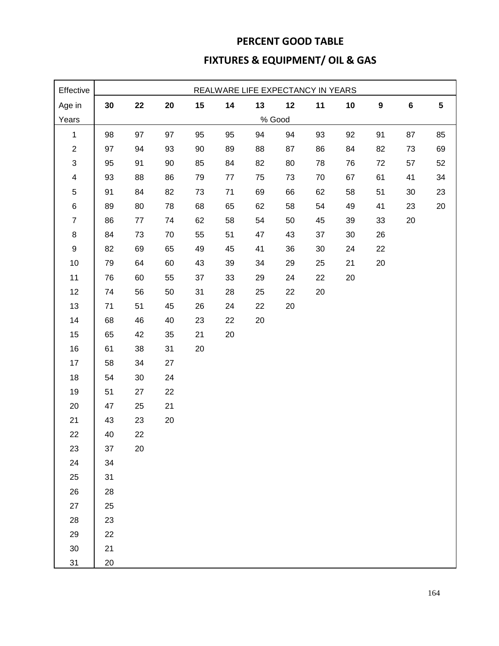## **PERCENT GOOD TABLE FIXTURES & EQUIPMENT/ OIL & GAS**

| Effective               |    |         |            |    |         | REALWARE LIFE EXPECTANCY IN YEARS |        |    |    |                  |         |           |
|-------------------------|----|---------|------------|----|---------|-----------------------------------|--------|----|----|------------------|---------|-----------|
| Age in                  | 30 | 22      | ${\bf 20}$ | 15 | 14      | 13                                | 12     | 11 | 10 | $\boldsymbol{9}$ | $\bf 6$ | ${\bf 5}$ |
| Years                   |    |         |            |    |         |                                   | % Good |    |    |                  |         |           |
| $\mathbf{1}$            | 98 | 97      | 97         | 95 | 95      | 94                                | 94     | 93 | 92 | 91               | 87      | 85        |
| $\overline{c}$          | 97 | 94      | 93         | 90 | 89      | 88                                | 87     | 86 | 84 | 82               | 73      | 69        |
| $\mathfrak{S}$          | 95 | 91      | 90         | 85 | 84      | 82                                | 80     | 78 | 76 | 72               | 57      | 52        |
| $\overline{\mathbf{4}}$ | 93 | 88      | 86         | 79 | $77 \,$ | 75                                | 73     | 70 | 67 | 61               | 41      | 34        |
| 5                       | 91 | 84      | 82         | 73 | 71      | 69                                | 66     | 62 | 58 | 51               | 30      | 23        |
| $\,6$                   | 89 | 80      | 78         | 68 | 65      | 62                                | 58     | 54 | 49 | 41               | 23      | 20        |
| $\overline{7}$          | 86 | $77 \,$ | 74         | 62 | 58      | 54                                | 50     | 45 | 39 | 33               | 20      |           |
| 8                       | 84 | 73      | 70         | 55 | 51      | 47                                | 43     | 37 | 30 | 26               |         |           |
| $\boldsymbol{9}$        | 82 | 69      | 65         | 49 | 45      | 41                                | 36     | 30 | 24 | 22               |         |           |
| $10$                    | 79 | 64      | 60         | 43 | 39      | 34                                | 29     | 25 | 21 | $20\,$           |         |           |
| 11                      | 76 | 60      | 55         | 37 | 33      | 29                                | 24     | 22 | 20 |                  |         |           |
| 12                      | 74 | 56      | 50         | 31 | 28      | 25                                | 22     | 20 |    |                  |         |           |
| 13                      | 71 | 51      | 45         | 26 | 24      | 22                                | 20     |    |    |                  |         |           |
| 14                      | 68 | 46      | 40         | 23 | 22      | 20                                |        |    |    |                  |         |           |
| 15                      | 65 | 42      | 35         | 21 | 20      |                                   |        |    |    |                  |         |           |
| 16                      | 61 | 38      | 31         | 20 |         |                                   |        |    |    |                  |         |           |
| 17                      | 58 | 34      | 27         |    |         |                                   |        |    |    |                  |         |           |
| 18                      | 54 | $30\,$  | 24         |    |         |                                   |        |    |    |                  |         |           |
| 19                      | 51 | 27      | 22         |    |         |                                   |        |    |    |                  |         |           |
| 20                      | 47 | 25      | 21         |    |         |                                   |        |    |    |                  |         |           |
| 21                      | 43 | 23      | 20         |    |         |                                   |        |    |    |                  |         |           |
| 22                      | 40 | 22      |            |    |         |                                   |        |    |    |                  |         |           |
| 23                      | 37 | 20      |            |    |         |                                   |        |    |    |                  |         |           |
| 24                      | 34 |         |            |    |         |                                   |        |    |    |                  |         |           |
| 25                      | 31 |         |            |    |         |                                   |        |    |    |                  |         |           |
| 26                      | 28 |         |            |    |         |                                   |        |    |    |                  |         |           |
| 27                      | 25 |         |            |    |         |                                   |        |    |    |                  |         |           |
| 28                      | 23 |         |            |    |         |                                   |        |    |    |                  |         |           |
| 29                      | 22 |         |            |    |         |                                   |        |    |    |                  |         |           |
| 30                      | 21 |         |            |    |         |                                   |        |    |    |                  |         |           |
| 31                      | 20 |         |            |    |         |                                   |        |    |    |                  |         |           |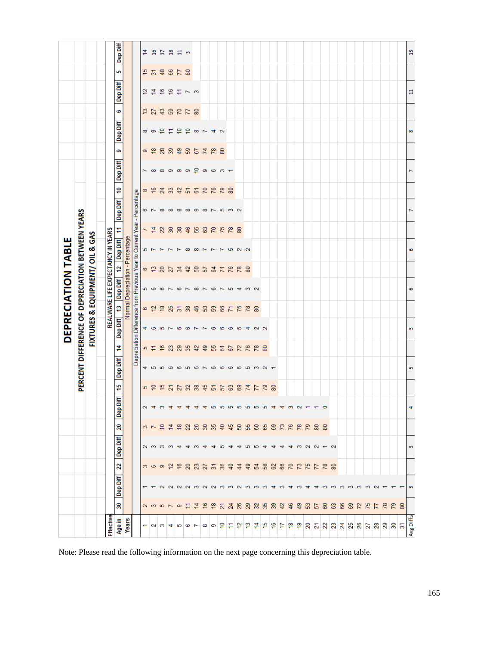|                   |               |                          |                  |                |               |                            |                         |                          |                 |                |                           | DEPRECIATION TABLE                                                      |                 |                          |                 |                                   |                         |                                 |                 |                |                |                |                           |                |
|-------------------|---------------|--------------------------|------------------|----------------|---------------|----------------------------|-------------------------|--------------------------|-----------------|----------------|---------------------------|-------------------------------------------------------------------------|-----------------|--------------------------|-----------------|-----------------------------------|-------------------------|---------------------------------|-----------------|----------------|----------------|----------------|---------------------------|----------------|
|                   |               |                          |                  |                |               |                            |                         |                          |                 |                |                           | PERCENT DIFFERENCE OF DEPRECIATION BETWEEN YEARS                        |                 |                          |                 |                                   |                         |                                 |                 |                |                |                |                           |                |
|                   |               |                          |                  |                |               |                            |                         |                          |                 |                |                           | <b>FIXTURES &amp; EQUIPMENT/ OIL &amp; GAS</b>                          |                 |                          |                 |                                   |                         |                                 |                 |                |                |                |                           |                |
|                   |               |                          |                  |                |               |                            |                         |                          |                 |                |                           | REALWARE LIFE EXPECTANCY IN YEARS                                       |                 |                          |                 |                                   |                         |                                 |                 |                |                |                |                           |                |
| Effective         |               |                          |                  |                |               |                            |                         |                          |                 |                |                           |                                                                         |                 |                          |                 |                                   |                         |                                 |                 |                |                |                |                           |                |
| Age in<br>Years   | 30            | Dep Diff                 | $\mathbf{z}$     | Dep Diff       | 20            | Diff<br><b>GeD</b>         | 45                      | <b>Dep Diff</b>          | 4               | Dep Diff       | P                         | Normal Depreciation - Percentage<br>Dep Diff                            | 2               | Dep Diff                 | F               | Dep Diff                          | 9                       | Dep Diff                        | ග               | Dep Diff       | 6              | Dep Diff       | 5                         | Dep Diff       |
|                   |               |                          |                  |                |               |                            |                         |                          |                 |                |                           | Depreciation Difference from Previous Year to Current Year - Percentage |                 |                          |                 |                                   |                         |                                 |                 |                |                |                |                           |                |
|                   |               |                          |                  |                |               |                            | 5                       |                          |                 |                | 6                         |                                                                         | 6               |                          | T               |                                   | ∞                       | L                               | ō               | $\infty$       | ä              | 5              | ₽                         | 4              |
|                   |               |                          |                  |                |               |                            | ူ                       |                          | 5 a             | $4\,$ $\circ$  | $\approx$                 | များ ထ                                                                  | $\frac{1}{2}$   | 57                       | $\overline{4}$  | $\frac{1}{2}$                     | $\frac{6}{5}$           | $\infty$                        | <u>۾</u>        | ာ              | $\overline{z}$ | $\overline{4}$ | $\overline{\mathfrak{m}}$ | Ξ              |
| $-20$             | 235797        |                          | က ဖ စ ည မ္       | ammm           | ω   Ξ Ξ       | $N \neq M \neq$            | 45                      | 4556                     | ۴               | 5              | ₽                         | $\circ$ $\sim$                                                          | $\overline{20}$ |                          | $\mathbf{z}$    |                                   | $\overline{24}$         |                                 | $\overline{28}$ | e,             | $\mathfrak{S}$ | $\frac{6}{5}$  | $\frac{3}{4}$             | Ħ              |
|                   |               |                          |                  |                |               |                            | $\overline{\mathbf{z}}$ |                          | $\mathbb{S}^2$  | $\overline{ }$ | 25                        |                                                                         | 27              | $\overline{\phantom{0}}$ | $_{30}$         |                                   | 33                      |                                 | $\overline{39}$ | Ξ              |                | $\frac{6}{5}$  |                           | 兽              |
| $\frac{1}{2}$     |               | <b>NNNMNNMM</b>          |                  | ₩              | ≌             |                            | 27                      | 6                        | $_{29}$         | G              | $\overline{\mathfrak{m}}$ | G                                                                       | $\frac{1}{24}$  | $\overline{ }$           | $\frac{8}{3}$   | <b>00 00 00 00</b>                | 42                      | $\infty$ $\infty$ $\infty$      | $\frac{1}{4}$   | e              | <b>225</b>     | Ξ              | 878                       | ∷ದ ∞           |
|                   |               |                          | <b>ន</b> ន ន ន ន | ₩              | ୍ଷ            | $\overline{\phantom{a}}$   | $\mathbb{R}$            | S                        | 35              | ø              | 38                        | $\overline{ }$                                                          | $\overline{2}$  | $\infty$                 | 46              |                                   | $5\,$                   |                                 | 59              | e              |                | $\frac{1}{2}$  |                           |                |
|                   |               |                          |                  | ൚              | . ಇ. ಇ        |                            | $\mathbb{S}^2$          | $\bullet$                | $\overline{42}$ | $\overline{ }$ | 46                        | $\infty$                                                                | $50^{\circ}$    | $\infty$                 | $\mathfrak{B}$  | ာ                                 | $\overline{\mathbf{6}}$ | ₽                               | $67\,$          | $\infty$       | 80             |                |                           |                |
|                   |               |                          |                  |                |               |                            | 45                      | $\overline{\phantom{0}}$ | \$              | $\overline{ }$ | S                         | $\overline{\phantom{0}}$                                                | 57              | ∼                        | $\mathbbm{S}$   |                                   | $\overline{70}$         |                                 | 74              | $\overline{ }$ |                |                |                           |                |
| $\infty$ $\infty$ |               |                          |                  |                | 볾             |                            | 55                      | 6                        | 55              | 6              | 59                        | $\bullet$                                                               | $\mathfrak{g}$  | $\overline{ }$           | $\overline{70}$ |                                   | 76                      |                                 | $\overline{78}$ |                |                |                |                           |                |
| 유도                | さんあい はっきょう    |                          |                  | <b>LO</b>      | 육             |                            |                         | $\bullet$                | $\overline{6}$  | $\bullet$      | $66\,$                    | $\overline{\phantom{0}}$                                                | N               | $\sim$ 50                | 75              | $\infty$ $\sim$ $\infty$ $\infty$ | 79                      | $\circ$ $\circ$ $\circ$ $\circ$ | 80              | 4 <sub>o</sub> |                |                |                           |                |
|                   |               |                          | $\epsilon$       | ෑ              | 高             |                            | ශ                       | $\bullet$                | 67              | $\bullet$      | N                         | 5                                                                       | 76              |                          | $\overline{78}$ |                                   | ္လွ                     |                                 |                 |                |                |                |                           |                |
|                   |               |                          | $\ddot{a}$       | ₩              | <u>ន</u>      |                            | $\mathbb{S}^3$          | 6                        | 72              | S              | 75                        | $\overline{4}$                                                          | 78              | $N$ $N$                  | 80              |                                   |                         |                                 |                 |                |                |                |                           |                |
| あおな               | ន ន ន ន       | 2000                     | 导                | <b>LO</b>      | 岊             |                            | $\overline{7}$          |                          | 76              | 4              | $\overline{78}$           | S                                                                       | 80              |                          |                 |                                   |                         |                                 |                 |                |                |                |                           |                |
|                   |               |                          |                  | ഥ              | 60            |                            | $\overline{7}$          | မာ က                     | $\overline{78}$ | $N$ $N$        | 80                        | $\sim$                                                                  |                 |                          |                 |                                   |                         |                                 |                 |                |                |                |                           |                |
|                   |               |                          | <b>A</b> 8       | ෑ              | 65            | <b>+ + 0 0 0 0 0 0 0 +</b> | 79                      | $\sim$ $\sim$            | 8               |                |                           |                                                                         |                 |                          |                 |                                   |                         |                                 |                 |                |                |                |                           |                |
|                   | ೫             | $\overline{\phantom{a}}$ | ଌ                | ᆉ              | 69            |                            | 80                      |                          |                 |                |                           |                                                                         |                 |                          |                 |                                   |                         |                                 |                 |                |                |                |                           |                |
|                   | $\ddot{ }$    | ന                        | 66               |                |               |                            |                         |                          |                 |                |                           |                                                                         |                 |                          |                 |                                   |                         |                                 |                 |                |                |                |                           |                |
|                   | $\frac{6}{5}$ | 4                        | $\mathbb{R}$     | ෑ              |               |                            |                         |                          |                 |                |                           |                                                                         |                 |                          |                 |                                   |                         |                                 |                 |                |                |                |                           |                |
|                   | $\frac{1}{2}$ | ന                        |                  |                |               | $\sim$                     |                         |                          |                 |                |                           |                                                                         |                 |                          |                 |                                   |                         |                                 |                 |                |                |                |                           |                |
|                   | <u>සි</u>     |                          | 7 2 7            | $m \sim N - N$ | <b>222233</b> |                            |                         |                          |                 |                |                           |                                                                         |                 |                          |                 |                                   |                         |                                 |                 |                |                |                |                           |                |
|                   | 5             | ෑ                        |                  |                |               |                            |                         |                          |                 |                |                           |                                                                         |                 |                          |                 |                                   |                         |                                 |                 |                |                |                |                           |                |
|                   | S.            | $^{6}$                   | . ಜ              |                |               |                            |                         |                          |                 |                |                           |                                                                         |                 |                          |                 |                                   |                         |                                 |                 |                |                |                |                           |                |
|                   | ෂ             |                          |                  |                |               |                            |                         |                          |                 |                |                           |                                                                         |                 |                          |                 |                                   |                         |                                 |                 |                |                |                |                           |                |
|                   | 8             |                          |                  |                |               |                            |                         |                          |                 |                |                           |                                                                         |                 |                          |                 |                                   |                         |                                 |                 |                |                |                |                           |                |
|                   | 69            |                          |                  |                |               |                            |                         |                          |                 |                |                           |                                                                         |                 |                          |                 |                                   |                         |                                 |                 |                |                |                |                           |                |
|                   | $\mathbb{Z}$  |                          |                  |                |               |                            |                         |                          |                 |                |                           |                                                                         |                 |                          |                 |                                   |                         |                                 |                 |                |                |                |                           |                |
|                   | ٣             |                          |                  |                |               |                            |                         |                          |                 |                |                           |                                                                         |                 |                          |                 |                                   |                         |                                 |                 |                |                |                |                           |                |
|                   | F             |                          |                  |                |               |                            |                         |                          |                 |                |                           |                                                                         |                 |                          |                 |                                   |                         |                                 |                 |                |                |                |                           |                |
|                   |               |                          |                  |                |               |                            |                         |                          |                 |                |                           |                                                                         |                 |                          |                 |                                   |                         |                                 |                 |                |                |                |                           |                |
|                   | 780           |                          |                  |                |               |                            |                         |                          |                 |                |                           |                                                                         |                 |                          |                 |                                   |                         |                                 |                 |                |                |                |                           |                |
|                   |               |                          |                  |                |               |                            |                         |                          |                 |                |                           |                                                                         |                 |                          |                 |                                   |                         |                                 |                 |                |                |                |                           |                |
| Avg Diffs         |               | <b>SC</b>                |                  | S.             |               |                            |                         | îη,                      |                 | in,            |                           | 6                                                                       |                 | 6                        |                 | Z                                 |                         | $\overline{ }$                  |                 | $\infty$       |                | $\Xi$          |                           | $\mathfrak{A}$ |

Note: Please read the following information on the next page concerning this depreciation table.